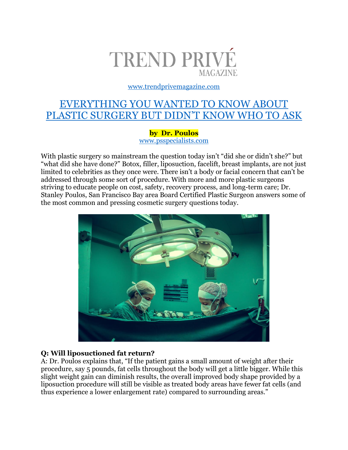

[www.trendprivemagazine.com](http://www.trendprivemagazine.com/)

# [EVERYTHING YOU WANTED TO KNOW ABOUT](https://trendprivemagazine.com/2018/10/27/everything-wanted-know-plastic-surgery-didnt-know-ask/)  [PLASTIC SURGERY BUT DIDN](https://trendprivemagazine.com/2018/10/27/everything-wanted-know-plastic-surgery-didnt-know-ask/)'T KNOW WHO TO ASK

#### **by Dr. Poulos**

[www.psspecialists.com](http://www.psspecialists.com/)

With plastic surgery so mainstream the question today isn't "did she or didn't she?" but "what did she have done?" Botox, filler, liposuction, facelift, breast implants, are not just limited to celebrities as they once were. There isn't a body or facial concern that can't be addressed through some sort of procedure. With more and more plastic surgeons striving to educate people on cost, safety, recovery process, and long-term care; Dr. Stanley Poulos, San Francisco Bay area Board Certified Plastic Surgeon answers some of the most common and pressing cosmetic surgery questions today.



## **Q: Will liposuctioned fat return?**

A: Dr. Poulos explains that, "If the patient gains a small amount of weight after their procedure, say 5 pounds, fat cells throughout the body will get a little bigger. While this slight weight gain can diminish results, the overall improved body shape provided by a liposuction procedure will still be visible as treated body areas have fewer fat cells (and thus experience a lower enlargement rate) compared to surrounding areas."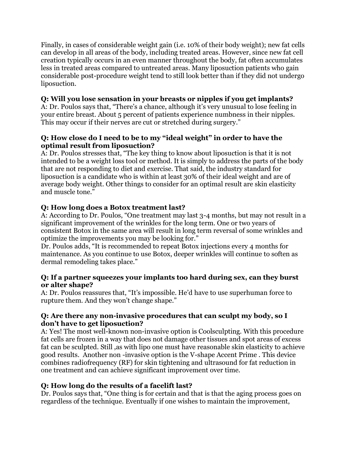Finally, in cases of considerable weight gain (i.e. 10% of their body weight); new fat cells can develop in all areas of the body, including treated areas. However, since new fat cell creation typically occurs in an even manner throughout the body, fat often accumulates less in treated areas compared to untreated areas. Many liposuction patients who gain considerable post-procedure weight tend to still look better than if they did not undergo liposuction.

# **Q: Will you lose sensation in your breasts or nipples if you get implants?**

A: Dr. Poulos says that, "There's a chance, although it's very unusual to lose feeling in your entire breast. About 5 percent of patients experience numbness in their nipples. This may occur if their nerves are cut or stretched during surgery."

## **Q: How close do I need to be to my "ideal weight" in order to have the optimal result from liposuction?**

A: Dr. Poulos stresses that, "The key thing to know about liposuction is that it is not intended to be a weight loss tool or method. It is simply to address the parts of the body that are not responding to diet and exercise. That said, the industry standard for liposuction is a candidate who is within at least 30% of their ideal weight and are of average body weight. Other things to consider for an optimal result are skin elasticity and muscle tone."

# **Q: How long does a Botox treatment last?**

A: According to Dr. Poulos, "One treatment may last 3-4 months, but may not result in a significant improvement of the wrinkles for the long term. One or two years of consistent Botox in the same area will result in long term reversal of some wrinkles and optimize the improvements you may be looking for."

Dr. Poulos adds, "It is recommended to repeat Botox injections every 4 months for maintenance. As you continue to use Botox, deeper wrinkles will continue to soften as dermal remodeling takes place."

#### **Q: If a partner squeezes your implants too hard during sex, can they burst or alter shape?**

A: Dr. Poulos reassures that, "It's impossible. He'd have to use superhuman force to rupture them. And they won't change shape."

## **Q: Are there any non-invasive procedures that can sculpt my body, so I don't have to get liposuction?**

A: Yes! The most well-known non-invasive option is Coolsculpting. With this procedure fat cells are frozen in a way that does not damage other tissues and spot areas of excess fat can be sculpted. Still ,as with lipo one must have reasonable skin elasticity to achieve good results. Another non -invasive option is the V-shape Accent Prime . This device combines radiofrequency (RF) for skin tightening and ultrasound for fat reduction in one treatment and can achieve significant improvement over time.

# **Q: How long do the results of a facelift last?**

Dr. Poulos says that, "One thing is for certain and that is that the aging process goes on regardless of the technique. Eventually if one wishes to maintain the improvement,